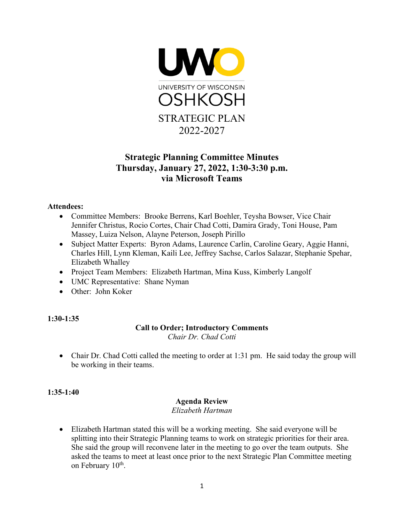

# **Strategic Planning Committee Minutes Thursday, January 27, 2022, 1:30-3:30 p.m. via Microsoft Teams**

### **Attendees:**

- Committee Members: Brooke Berrens, Karl Boehler, Teysha Bowser, Vice Chair Jennifer Christus, Rocio Cortes, Chair Chad Cotti, Damira Grady, Toni House, Pam Massey, Luiza Nelson, Alayne Peterson, Joseph Pirillo
- Subject Matter Experts: Byron Adams, Laurence Carlin, Caroline Geary, Aggie Hanni, Charles Hill, Lynn Kleman, Kaili Lee, Jeffrey Sachse, Carlos Salazar, Stephanie Spehar, Elizabeth Whalley
- Project Team Members: Elizabeth Hartman, Mina Kuss, Kimberly Langolf
- UMC Representative: Shane Nyman
- Other: John Koker

#### **1:30-1:35**

#### **Call to Order; Introductory Comments**

*Chair Dr. Chad Cotti*

• Chair Dr. Chad Cotti called the meeting to order at 1:31 pm. He said today the group will be working in their teams.

#### **1:35-1:40**

# **Agenda Review**

*Elizabeth Hartman*

• Elizabeth Hartman stated this will be a working meeting. She said everyone will be splitting into their Strategic Planning teams to work on strategic priorities for their area. She said the group will reconvene later in the meeting to go over the team outputs. She asked the teams to meet at least once prior to the next Strategic Plan Committee meeting on February 10<sup>th</sup>.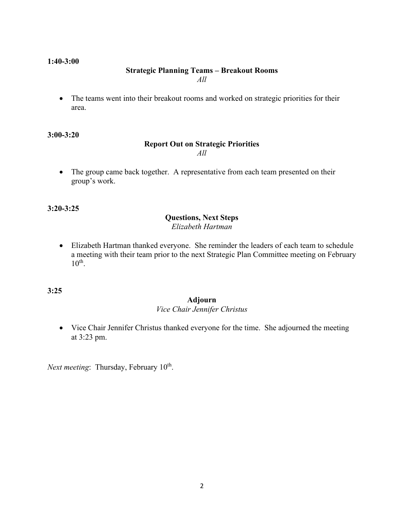#### **1:40-3:00**

#### **Strategic Planning Teams – Breakout Rooms** *All*

• The teams went into their breakout rooms and worked on strategic priorities for their area.

**3:00-3:20**

#### **Report Out on Strategic Priorities** *All*

• The group came back together. A representative from each team presented on their group's work.

**3:20-3:25**

# **Questions, Next Steps**

*Elizabeth Hartman*

• Elizabeth Hartman thanked everyone. She reminder the leaders of each team to schedule a meeting with their team prior to the next Strategic Plan Committee meeting on February  $10<sup>th</sup>$ .

**3:25**

#### **Adjourn**

### *Vice Chair Jennifer Christus*

• Vice Chair Jennifer Christus thanked everyone for the time. She adjourned the meeting at 3:23 pm.

*Next meeting*: Thursday, February 10<sup>th</sup>.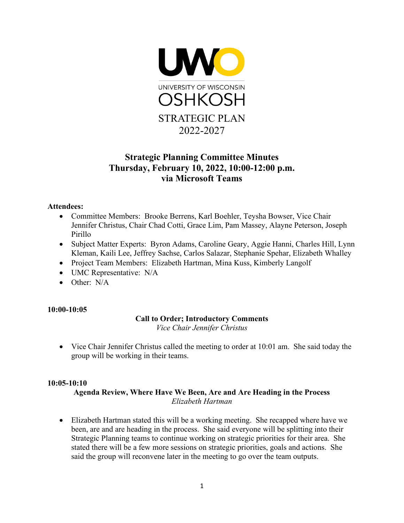

# **Strategic Planning Committee Minutes Thursday, February 10, 2022, 10:00-12:00 p.m. via Microsoft Teams**

# **Attendees:**

- Committee Members: Brooke Berrens, Karl Boehler, Teysha Bowser, Vice Chair Jennifer Christus, Chair Chad Cotti, Grace Lim, Pam Massey, Alayne Peterson, Joseph Pirillo
- Subject Matter Experts: Byron Adams, Caroline Geary, Aggie Hanni, Charles Hill, Lynn Kleman, Kaili Lee, Jeffrey Sachse, Carlos Salazar, Stephanie Spehar, Elizabeth Whalley
- Project Team Members: Elizabeth Hartman, Mina Kuss, Kimberly Langolf
- UMC Representative: N/A
- Other: N/A

#### **10:00-10:05**

# **Call to Order; Introductory Comments**

*Vice Chair Jennifer Christus*

• Vice Chair Jennifer Christus called the meeting to order at 10:01 am. She said today the group will be working in their teams.

# **10:05-10:10**

# **Agenda Review, Where Have We Been, Are and Are Heading in the Process** *Elizabeth Hartman*

• Elizabeth Hartman stated this will be a working meeting. She recapped where have we been, are and are heading in the process. She said everyone will be splitting into their Strategic Planning teams to continue working on strategic priorities for their area. She stated there will be a few more sessions on strategic priorities, goals and actions. She said the group will reconvene later in the meeting to go over the team outputs.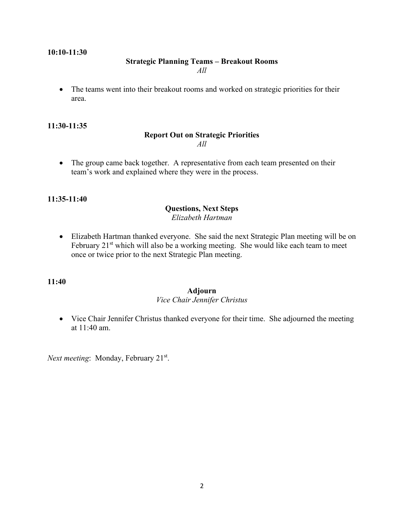#### **10:10-11:30**

#### **Strategic Planning Teams – Breakout Rooms**

*All*

• The teams went into their breakout rooms and worked on strategic priorities for their area.

#### **11:30-11:35**

#### **Report Out on Strategic Priorities** *All*

• The group came back together. A representative from each team presented on their team's work and explained where they were in the process.

#### **11:35-11:40**

#### **Questions, Next Steps** *Elizabeth Hartman*

• Elizabeth Hartman thanked everyone. She said the next Strategic Plan meeting will be on February  $21<sup>st</sup>$  which will also be a working meeting. She would like each team to meet once or twice prior to the next Strategic Plan meeting.

#### **11:40**

#### **Adjourn**

#### *Vice Chair Jennifer Christus*

• Vice Chair Jennifer Christus thanked everyone for their time. She adjourned the meeting at 11:40 am.

*Next meeting*: Monday, February 21<sup>st</sup>.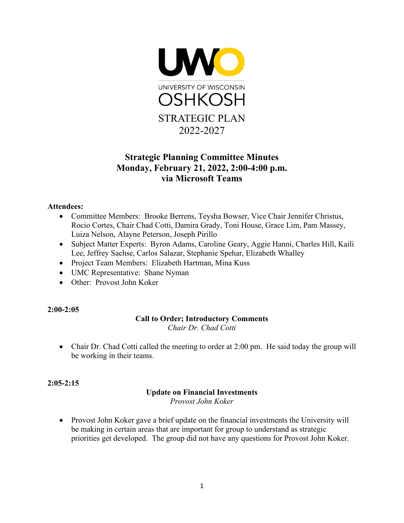

# **Strategic Planning Committee Minutes Monday, February 21, 2022, 2:00-4:00 p.m. via Microsoft Teams**

# **Attendees:**

- Committee Members: Brooke Berrens, Teysha Bowser, Vice Chair Jennifer Christus, Rocio Cortes, Chair Chad Cotti, Damira Grady, Toni House, Grace Lim, Pam Massey, Luiza Nelson, Alayne Peterson, Joseph Pirillo
- Subject Matter Experts: Byron Adams, Caroline Geary, Aggie Hanni, Charles Hill, Kaili Lee, Jeffrey Sachse, Carlos Salazar, Stephanie Spehar, Elizabeth Whalley
- Project Team Members: Elizabeth Hartman, Mina Kuss
- UMC Representative: Shane Nyman
- Other: Provost John Koker

# **2:00-2:05**

#### **Call to Order; Introductory Comments** *Chair Dr. Chad Cotti*

• Chair Dr. Chad Cotti called the meeting to order at 2:00 pm. He said today the group will be working in their teams.

# **2:05-2:15**

# **Update on Financial Investments**

*Provost John Koker*

• Provost John Koker gave a brief update on the financial investments the University will be making in certain areas that are important for group to understand as strategic priorities get developed. The group did not have any questions for Provost John Koker.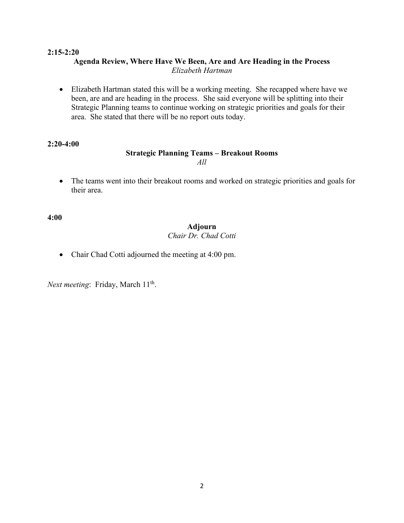#### **2:15-2:20 Agenda Review, Where Have We Been, Are and Are Heading in the Process** *Elizabeth Hartman*

• Elizabeth Hartman stated this will be a working meeting. She recapped where have we been, are and are heading in the process. She said everyone will be splitting into their Strategic Planning teams to continue working on strategic priorities and goals for their area. She stated that there will be no report outs today.

#### **2:20-4:00**

#### **Strategic Planning Teams – Breakout Rooms** *All*

• The teams went into their breakout rooms and worked on strategic priorities and goals for their area.

**4:00**

# **Adjourn**

# *Chair Dr. Chad Cotti*

• Chair Chad Cotti adjourned the meeting at 4:00 pm.

Next meeting: Friday, March 11<sup>th</sup>.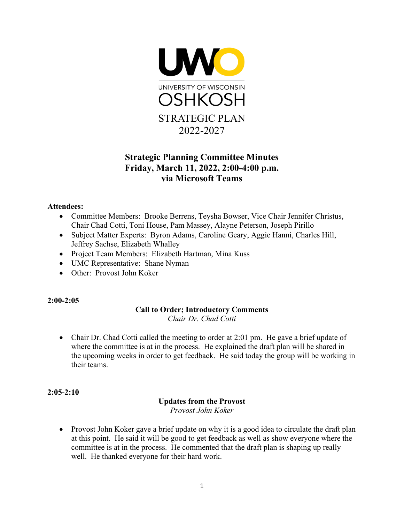

# **Strategic Planning Committee Minutes Friday, March 11, 2022, 2:00-4:00 p.m. via Microsoft Teams**

# **Attendees:**

- Committee Members: Brooke Berrens, Teysha Bowser, Vice Chair Jennifer Christus, Chair Chad Cotti, Toni House, Pam Massey, Alayne Peterson, Joseph Pirillo
- Subject Matter Experts: Byron Adams, Caroline Geary, Aggie Hanni, Charles Hill, Jeffrey Sachse, Elizabeth Whalley
- Project Team Members: Elizabeth Hartman, Mina Kuss
- UMC Representative: Shane Nyman
- Other: Provost John Koker

# **2:00-2:05**

# **Call to Order; Introductory Comments**

*Chair Dr. Chad Cotti*

• Chair Dr. Chad Cotti called the meeting to order at 2:01 pm. He gave a brief update of where the committee is at in the process. He explained the draft plan will be shared in the upcoming weeks in order to get feedback. He said today the group will be working in their teams.

#### **2:05-2:10**

# **Updates from the Provost** *Provost John Koker*

• Provost John Koker gave a brief update on why it is a good idea to circulate the draft plan at this point. He said it will be good to get feedback as well as show everyone where the committee is at in the process. He commented that the draft plan is shaping up really well. He thanked everyone for their hard work.